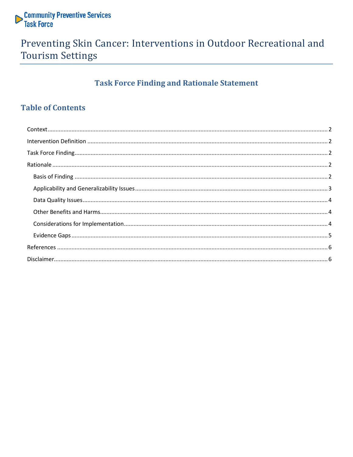

## Preventing Skin Cancer: Interventions in Outdoor Recreational and **Tourism Settings**

## **Task Force Finding and Rationale Statement**

### **Table of Contents**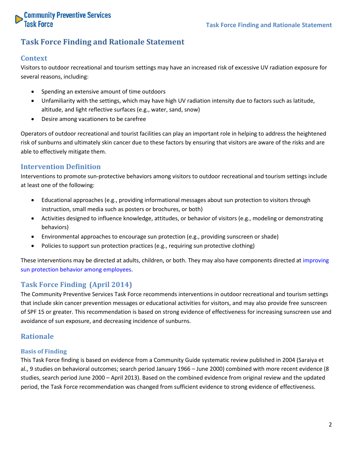

### **Task Force Finding and Rationale Statement**

#### <span id="page-1-0"></span>**Context**

Visitors to outdoor recreational and tourism settings may have an increased risk of excessive UV radiation exposure for several reasons, including:

- Spending an extensive amount of time outdoors
- Unfamiliarity with the settings, which may have high UV radiation intensity due to factors such as latitude, altitude, and light reflective surfaces (e.g., water, sand, snow)
- Desire among vacationers to be carefree

Operators of outdoor recreational and tourist facilities can play an important role in helping to address the heightened risk of sunburns and ultimately skin cancer due to these factors by ensuring that visitors are aware of the risks and are able to effectively mitigate them.

#### <span id="page-1-1"></span>**Intervention Definition**

Interventions to promote sun-protective behaviors among visitors to outdoor recreational and tourism settings include at least one of the following:

- Educational approaches (e.g., providing informational messages about sun protection to visitors through instruction, small media such as posters or brochures, or both)
- Activities designed to influence knowledge, attitudes, or behavior of visitors (e.g., modeling or demonstrating behaviors)
- Environmental approaches to encourage sun protection (e.g., providing sunscreen or shade)
- Policies to support sun protection practices (e.g., requiring sun protective clothing)

These interventions may be directed at adults, children, or both. They may also have components directed at improving sun protection behavior among employees.

#### <span id="page-1-2"></span>**Task Force Finding (April 2014)**

The Community Preventive Services Task Force recommends interventions in outdoor recreational and tourism settings that include skin cancer prevention messages or educational activities for visitors, and may also provide free sunscreen of SPF 15 or greater. This recommendation is based on strong evidence of effectiveness for increasing sunscreen use and avoidance of sun exposure, and decreasing incidence of sunburns.

#### <span id="page-1-3"></span>**Rationale**

#### <span id="page-1-4"></span>**Basis of Finding**

This Task Force finding is based on evidence from a Community Guide systematic review published in 2004 (Saraiya et al., 9 studies on behavioral outcomes; search period January 1966 – June 2000) combined with more recent evidence (8 studies, search period June 2000 – April 2013). Based on the combined evidence from original review and the updated period, the Task Force recommendation was changed from sufficient evidence to strong evidence of effectiveness.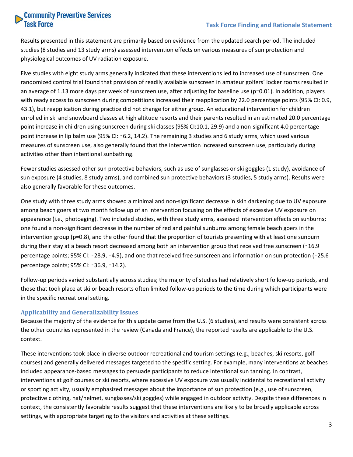# **Community Preventive Services**<br>Task Force

Results presented in this statement are primarily based on evidence from the updated search period. The included studies (8 studies and 13 study arms) assessed intervention effects on various measures of sun protection and physiological outcomes of UV radiation exposure.

Five studies with eight study arms generally indicated that these interventions led to increased use of sunscreen. One randomized control trial found that provision of readily available sunscreen in amateur golfers' locker rooms resulted in an average of 1.13 more days per week of sunscreen use, after adjusting for baseline use (p=0.01). In addition, players with ready access to sunscreen during competitions increased their reapplication by 22.0 percentage points (95% CI: 0.9, 43.1), but reapplication during practice did not change for either group. An educational intervention for children enrolled in ski and snowboard classes at high altitude resorts and their parents resulted in an estimated 20.0 percentage point increase in children using sunscreen during ski classes (95% CI:10.1, 29.9) and a non-significant 4.0 percentage point increase in lip balm use (95% CI: ‑6.2, 14.2). The remaining 3 studies and 6 study arms, which used various measures of sunscreen use, also generally found that the intervention increased sunscreen use, particularly during activities other than intentional sunbathing.

Fewer studies assessed other sun protective behaviors, such as use of sunglasses or ski goggles (1 study), avoidance of sun exposure (4 studies, 8 study arms), and combined sun protective behaviors (3 studies, 5 study arms). Results were also generally favorable for these outcomes.

One study with three study arms showed a minimal and non-significant decrease in skin darkening due to UV exposure among beach goers at two month follow up of an intervention focusing on the effects of excessive UV exposure on appearance (i.e., photoaging). Two included studies, with three study arms, assessed intervention effects on sunburns; one found a non-significant decrease in the number of red and painful sunburns among female beach goers in the intervention group (p=0.8), and the other found that the proportion of tourists presenting with at least one sunburn during their stay at a beach resort decreased among both an intervention group that received free sunscreen (-16.9 percentage points; 95% CI: ‑28.9, ‑4.9), and one that received free sunscreen and information on sun protection (‑25.6 percentage points; 95% CI: ‑36.9, ‑14.2).

Follow-up periods varied substantially across studies; the majority of studies had relatively short follow-up periods, and those that took place at ski or beach resorts often limited follow-up periods to the time during which participants were in the specific recreational setting.

#### <span id="page-2-0"></span>**Applicability and Generalizability Issues**

Because the majority of the evidence for this update came from the U.S. (6 studies), and results were consistent across the other countries represented in the review (Canada and France), the reported results are applicable to the U.S. context.

These interventions took place in diverse outdoor recreational and tourism settings (e.g., beaches, ski resorts, golf courses) and generally delivered messages targeted to the specific setting. For example, many interventions at beaches included appearance-based messages to persuade participants to reduce intentional sun tanning. In contrast, interventions at golf courses or ski resorts, where excessive UV exposure was usually incidental to recreational activity or sporting activity, usually emphasized messages about the importance of sun protection (e.g., use of sunscreen, protective clothing, hat/helmet, sunglasses/ski goggles) while engaged in outdoor activity. Despite these differences in context, the consistently favorable results suggest that these interventions are likely to be broadly applicable across settings, with appropriate targeting to the visitors and activities at these settings.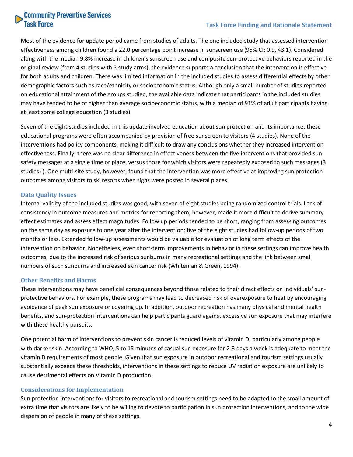# Community Preventive Services<br>Task Force

#### **Task Force Finding and Rationale Statement**

Most of the evidence for update period came from studies of adults. The one included study that assessed intervention effectiveness among children found a 22.0 percentage point increase in sunscreen use (95% CI: 0.9, 43.1). Considered along with the median 9.8% increase in children's sunscreen use and composite sun-protective behaviors reported in the original review (from 4 studies with 5 study arms), the evidence supports a conclusion that the intervention is effective for both adults and children. There was limited information in the included studies to assess differential effects by other demographic factors such as race/ethnicity or socioeconomic status. Although only a small number of studies reported on educational attainment of the groups studied, the available data indicate that participants in the included studies may have tended to be of higher than average socioeconomic status, with a median of 91% of adult participants having at least some college education (3 studies).

Seven of the eight studies included in this update involved education about sun protection and its importance; these educational programs were often accompanied by provision of free sunscreen to visitors (4 studies). None of the interventions had policy components, making it difficult to draw any conclusions whether they increased intervention effectiveness. Finally, there was no clear difference in effectiveness between the five interventions that provided sun safety messages at a single time or place, versus those for which visitors were repeatedly exposed to such messages (3 studies) ). One multi-site study, however, found that the intervention was more effective at improving sun protection outcomes among visitors to ski resorts when signs were posted in several places.

#### <span id="page-3-0"></span>**Data Quality Issues**

Internal validity of the included studies was good, with seven of eight studies being randomized control trials. Lack of consistency in outcome measures and metrics for reporting them, however, made it more difficult to derive summary effect estimates and assess effect magnitudes. Follow up periods tended to be short, ranging from assessing outcomes on the same day as exposure to one year after the intervention; five of the eight studies had follow-up periods of two months or less. Extended follow-up assessments would be valuable for evaluation of long term effects of the intervention on behavior. Nonetheless, even short-term improvements in behavior in these settings can improve health outcomes, due to the increased risk of serious sunburns in many recreational settings and the link between small numbers of such sunburns and increased skin cancer risk (Whiteman & Green, 1994).

#### <span id="page-3-1"></span>**Other Benefits and Harms**

These interventions may have beneficial consequences beyond those related to their direct effects on individuals' sunprotective behaviors. For example, these programs may lead to decreased risk of overexposure to heat by encouraging avoidance of peak sun exposure or covering up. In addition, outdoor recreation has many physical and mental health benefits, and sun-protection interventions can help participants guard against excessive sun exposure that may interfere with these healthy pursuits.

One potential harm of interventions to prevent skin cancer is reduced levels of vitamin D, particularly among people with darker skin. According to WHO, 5 to 15 minutes of casual sun exposure for 2-3 days a week is adequate to meet the vitamin D requirements of most people. Given that sun exposure in outdoor recreational and tourism settings usually substantially exceeds these thresholds, interventions in these settings to reduce UV radiation exposure are unlikely to cause detrimental effects on Vitamin D production.

#### <span id="page-3-2"></span>**Considerations for Implementation**

Sun protection interventions for visitors to recreational and tourism settings need to be adapted to the small amount of extra time that visitors are likely to be willing to devote to participation in sun protection interventions, and to the wide dispersion of people in many of these settings.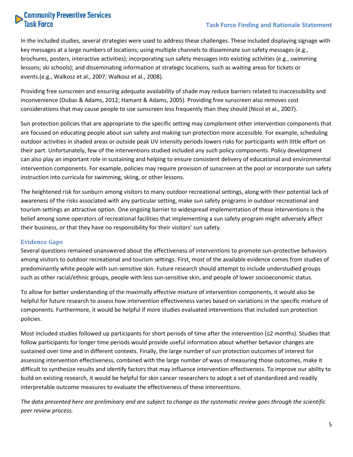# **Community Preventive Services**<br>Task Force

#### **Task Force Finding and Rationale Statement**

In the included studies, several strategies were used to address these challenges. These included displaying signage with key messages at a large numbers of locations; using multiple channels to disseminate sun safety messages (e.g., brochures, posters, interactive activities); incorporating sun safety messages into existing activities (e.g., swimming lessons; ski schools); and disseminating information at strategic locations, such as waiting areas for tickets or events.(e.g., Walkosz et al., 2007; Walkosz et al., 2008).

Providing free sunscreen and ensuring adequate availability of shade may reduce barriers related to inaccessibility and inconvenience (Dubas & Adams, 2012; Hamant & Adams, 2005). Providing free sunscreen also removes cost considerations that may cause people to use sunscreen less frequently than they should (Nicol et al., 2007).

Sun protection policies that are appropriate to the specific setting may complement other intervention components that are focused on educating people about sun safety and making sun protection more accessible. For example, scheduling outdoor activities in shaded areas or outside peak UV intensity periods lowers risks for participants with little effort on their part. Unfortunately, few of the interventions studied included any such policy components. Policy development can also play an important role in sustaining and helping to ensure consistent delivery of educational and environmental intervention components. For example, policies may require provision of sunscreen at the pool or incorporate sun safety instruction into curricula for swimming, skiing, or other lessons.

The heightened risk for sunburn among visitors to many outdoor recreational settings, along with their potential lack of awareness of the risks associated with any particular setting, make sun safety programs in outdoor recreational and tourism settings an attractive option. One ongoing barrier to widespread implementation of these interventions is the belief among some operators of recreational facilities that implementing a sun safety program might adversely affect their business, or that they have no responsibility for their visitors' sun safety.

#### <span id="page-4-0"></span>**Evidence Gaps**

Several questions remained unanswered about the effectiveness of interventions to promote sun-protective behaviors among visitors to outdoor recreational and tourism settings. First, most of the available evidence comes from studies of predominantly white people with sun-sensitive skin. Future research should attempt to include understudied groups such as other racial/ethnic groups, people with less sun-sensitive skin, and people of lower socioeconomic status.

To allow for better understanding of the maximally effective mixture of intervention components, it would also be helpful for future research to assess how intervention effectiveness varies based on variations in the specific mixture of components. Furthermore, it would be helpful if more studies evaluated interventions that included sun protection policies.

Most included studies followed up participants for short periods of time after the intervention (≤2 months). Studies that follow participants for longer time periods would provide useful information about whether behavior changes are sustained over time and in different contexts. Finally, the large number of sun protection outcomes of interest for assessing intervention effectiveness, combined with the large number of ways of measuring those outcomes, make it difficult to synthesize results and identify factors that may influence intervention effectiveness. To improve our ability to build on existing research, it would be helpful for skin cancer researchers to adopt a set of standardized and readily interpretable outcome measures to evaluate the effectiveness of these interventions.

*The data presented here are preliminary and are subject to change as the systematic review goes through the scientific peer review process.*